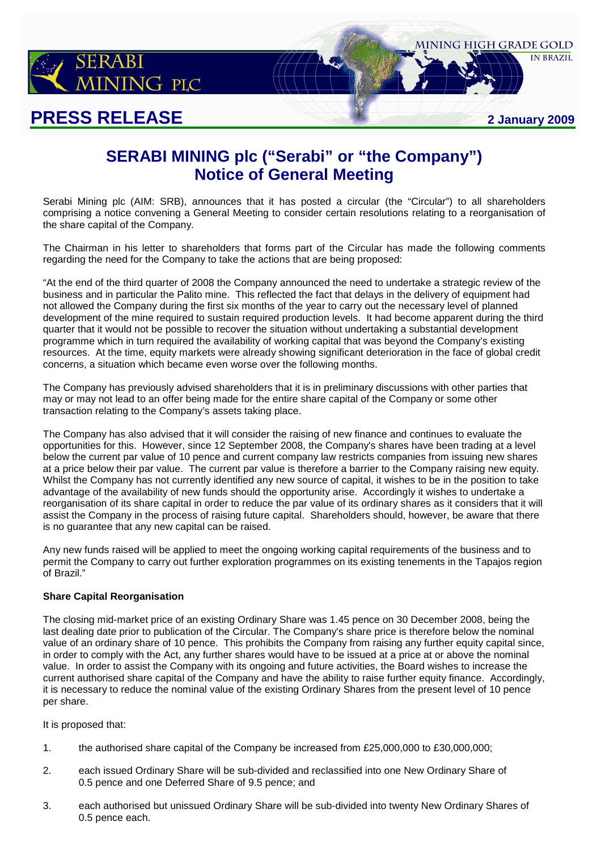

## **PRESS RELEASE 2 January 2009**

**IN BRAZIL** 

MINING HIGH GRADE GOLD

## **SERABI MINING plc ("Serabi" or "the Company") Notice of General Meeting**

Serabi Mining plc (AIM: SRB), announces that it has posted a circular (the "Circular") to all shareholders comprising a notice convening a General Meeting to consider certain resolutions relating to a reorganisation of the share capital of the Company.

The Chairman in his letter to shareholders that forms part of the Circular has made the following comments regarding the need for the Company to take the actions that are being proposed:

"At the end of the third quarter of 2008 the Company announced the need to undertake a strategic review of the business and in particular the Palito mine. This reflected the fact that delays in the delivery of equipment had not allowed the Company during the first six months of the year to carry out the necessary level of planned development of the mine required to sustain required production levels. It had become apparent during the third quarter that it would not be possible to recover the situation without undertaking a substantial development programme which in turn required the availability of working capital that was beyond the Company's existing resources. At the time, equity markets were already showing significant deterioration in the face of global credit concerns, a situation which became even worse over the following months.

The Company has previously advised shareholders that it is in preliminary discussions with other parties that may or may not lead to an offer being made for the entire share capital of the Company or some other transaction relating to the Company's assets taking place.

The Company has also advised that it will consider the raising of new finance and continues to evaluate the opportunities for this. However, since 12 September 2008, the Company's shares have been trading at a level below the current par value of 10 pence and current company law restricts companies from issuing new shares at a price below their par value. The current par value is therefore a barrier to the Company raising new equity. Whilst the Company has not currently identified any new source of capital, it wishes to be in the position to take advantage of the availability of new funds should the opportunity arise. Accordingly it wishes to undertake a reorganisation of its share capital in order to reduce the par value of its ordinary shares as it considers that it will assist the Company in the process of raising future capital. Shareholders should, however, be aware that there is no guarantee that any new capital can be raised.

Any new funds raised will be applied to meet the ongoing working capital requirements of the business and to permit the Company to carry out further exploration programmes on its existing tenements in the Tapajos region of Brazil."

## **Share Capital Reorganisation**

The closing mid-market price of an existing Ordinary Share was 1.45 pence on 30 December 2008, being the last dealing date prior to publication of the Circular. The Company's share price is therefore below the nominal value of an ordinary share of 10 pence. This prohibits the Company from raising any further equity capital since, in order to comply with the Act, any further shares would have to be issued at a price at or above the nominal value. In order to assist the Company with its ongoing and future activities, the Board wishes to increase the current authorised share capital of the Company and have the ability to raise further equity finance. Accordingly, it is necessary to reduce the nominal value of the existing Ordinary Shares from the present level of 10 pence per share.

It is proposed that:

- 1. the authorised share capital of the Company be increased from £25,000,000 to £30,000,000;
- 2. each issued Ordinary Share will be sub-divided and reclassified into one New Ordinary Share of 0.5 pence and one Deferred Share of 9.5 pence; and
- 3. each authorised but unissued Ordinary Share will be sub-divided into twenty New Ordinary Shares of 0.5 pence each.